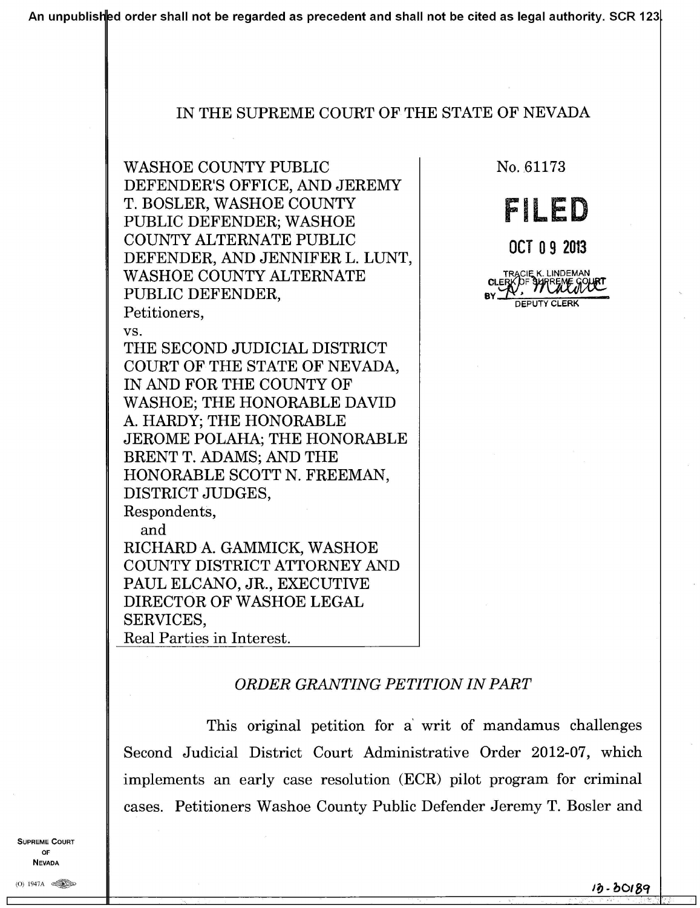An unpublished order shall not be regarded as precedent and shall not be cited as legal authority. SCR 123

### IN THE SUPREME COURT OF THE STATE OF NEVADA

**WASHOE COUNTY PUBLIC** DEFENDER'S OFFICE, AND JEREMY T. BOSLER, WASHOE COUNTY PUBLIC DEFENDER; WASHOE COUNTY ALTERNATE PUBLIC DEFENDER, AND JENNIFER L. LUNT, **WASHOE COUNTY ALTERNATE** PUBLIC DEFENDER, Petitioners,

VS.

THE SECOND JUDICIAL DISTRICT COURT OF THE STATE OF NEVADA, IN AND FOR THE COUNTY OF **WASHOE: THE HONORABLE DAVID** A. HARDY; THE HONORABLE JEROME POLAHA; THE HONORABLE BRENT T. ADAMS: AND THE HONORABLE SCOTT N. FREEMAN. DISTRICT JUDGES, Respondents, and

RICHARD A. GAMMICK, WASHOE COUNTY DISTRICT ATTORNEY AND PAUL ELCANO, JR., EXECUTIVE DIRECTOR OF WASHOE LEGAL SERVICES, Real Parties in Interest.

No. 61173



OCT 09 2013

**TRACIE K. LINDEMAN DEPUTY CLERK** 

# ORDER GRANTING PETITION IN PART

This original petition for a writ of mandamus challenges Second Judicial District Court Administrative Order 2012-07, which implements an early case resolution (ECR) pilot program for criminal cases. Petitioners Washoe County Public Defender Jeremy T. Bosler and

PREME COURT OF **NEVADA**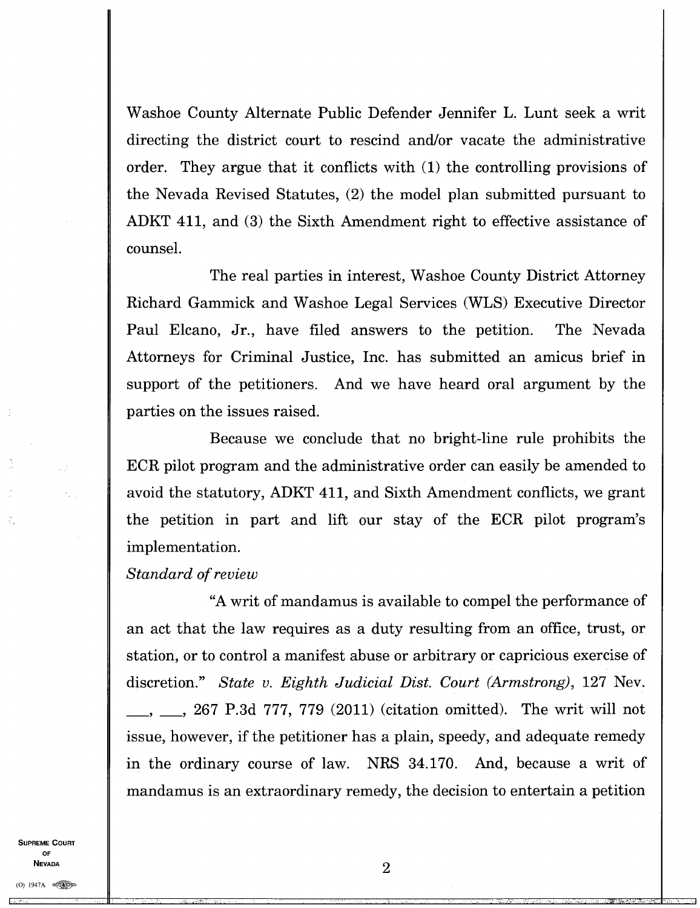Washoe County Alternate Public Defender Jennifer L. Lunt seek a writ directing the district court to rescind and/or vacate the administrative order. They argue that it conflicts with (1) the controlling provisions of the Nevada Revised Statutes, (2) the model plan submitted pursuant to ADKT 411, and (3) the Sixth Amendment right to effective assistance of counsel.

Paul Elcano, Jr., have filed answers to the petition. Attorneys for Criminal Justice, Inc. has submitted an amicus brief in The Nevada The real parties in interest, Washoe County District Attorney Richard Gammick and Washoe Legal Services (WLS) Executive Director support of the petitioners. And we have heard oral argument by the parties on the issues raised.

Because we conclude that no bright-line rule prohibits the ECR pilot program and the administrative order can easily be amended to avoid the statutory, ADKT 411, and Sixth Amendment conflicts, we grant the petition in part and lift our stay of the ECR pilot program's implementation.

#### *Standard of review*

"A writ of mandamus is available to compel the performance of an act that the law requires as a duty resulting from an office, trust, or station, or to control a manifest abuse or arbitrary or capricious exercise of discretion." *State v. Eighth Judicial Dist. Court (Armstrong),* 127 Nev. 267 P.3d 777, 779 (2011) (citation omitted). The writ will not issue, however, if the petitioner has a plain, speedy, and adequate remedy in the ordinary course of law. NRS 34.170. And, because a writ of mandamus is an extraordinary remedy, the decision to entertain a petition

**SUPREME COURT OF NEVADA**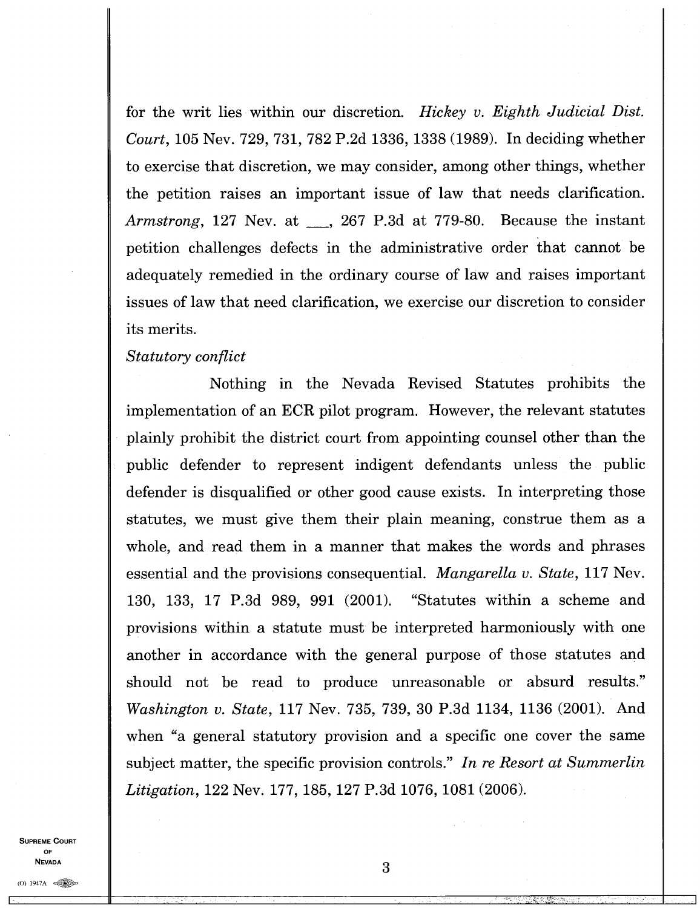for the writ lies within our discretion. *Hickey v. Eighth Judicial Dist. Court,* 105 Nev. 729, 731, 782 P.2d 1336, 1338 (1989). In deciding whether to exercise that discretion, we may consider, among other things, whether the petition raises an important issue of law that needs clarification. *Armstrong*, 127 Nev. at <sub>1</sub>, 267 P.3d at 779-80. Because the instant petition challenges defects in the administrative order that cannot be adequately remedied in the ordinary course of law and raises important issues of law that need clarification, we exercise our discretion to consider its merits.

### *Statutory conflict*

Nothing in the Nevada Revised Statutes prohibits the implementation of an ECR pilot program. However, the relevant statutes plainly prohibit the district court from appointing counsel other than the public defender to represent indigent defendants unless the public defender is disqualified or other good cause exists. In interpreting those statutes, we must give them their plain meaning, construe them as a whole, and read them in a manner that makes the words and phrases essential and the provisions consequential. *Mangarella v. State,* 117 Nev. 130, 133, 17 P.3d 989, 991 (2001). "Statutes within a scheme and provisions within a statute must be interpreted harmoniously with one another in accordance with the general purpose of those statutes and should not be read to produce unreasonable or absurd results." *Washington v. State,* 117 Nev. 735, 739, 30 P.3d 1134, 1136 (2001). And when "a general statutory provision and a specific one cover the same subject matter, the specific provision controls." *In re Resort at Summerlin Litigation,* 122 Nev. 177, 185, 127 P.3d 1076, 1081 (2006).

**SUPREME COURT OF NEVADA**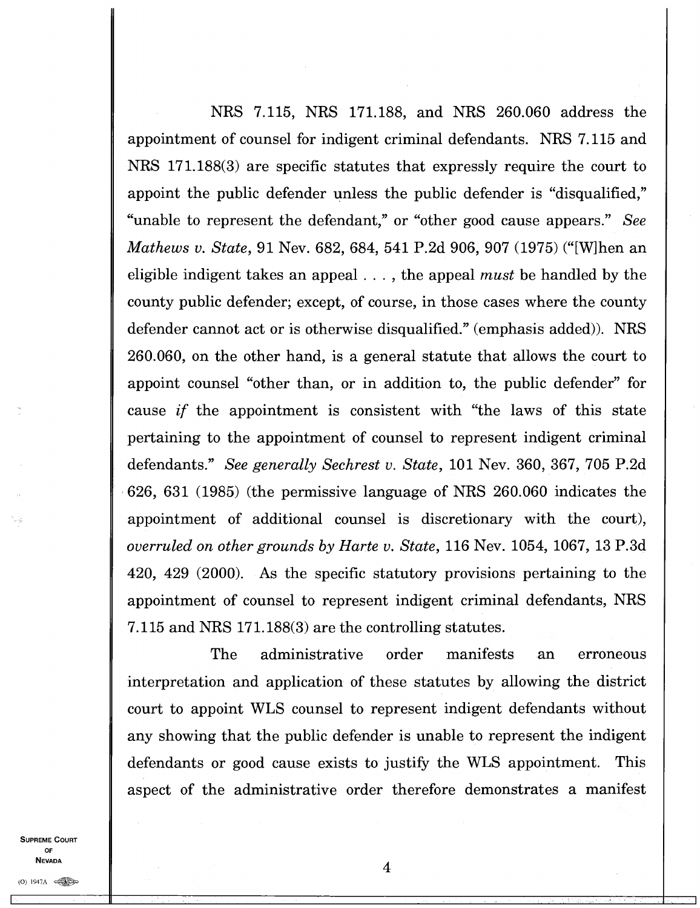NRS 7.115, NRS 171.188, and NRS 260.060 address the appointment of counsel for indigent criminal defendants. NRS 7.115 and NRS 171.188(3) are specific statutes that expressly require the court to appoint the public defender unless the public defender is "disqualified," "unable to represent the defendant," or "other good cause appears." *See Mathews v. State,* 91 Nev. 682, 684, 541 P.2d 906, 907 (1975) ("[W]hen an eligible indigent takes an appeal . . . , the appeal *must* be handled by the county public defender; except, of course, in those cases where the county defender cannot act or is otherwise disqualified." (emphasis added)). NRS 260.060, on the other hand, is a general statute that allows the court to appoint counsel "other than, or in addition to, the public defender" for cause *if* the appointment is consistent with "the laws of this state pertaining to the appointment of counsel to represent indigent criminal defendants." *See generally Sechrest v. State,* 101 Nev. 360, 367, 705 P.2d • 626, 631 (1985) (the permissive language of NRS 260.060 indicates the appointment of additional counsel is discretionary with the court), *overruled on other grounds by Harte v. State,* 116 Nev. 1054, 1067, 13 P.3d 420, 429 (2000). As the specific statutory provisions pertaining to the appointment of counsel to represent indigent criminal defendants, NRS 7.115 and NRS 171.188(3) are the controlling statutes.

The administrative order manifests an erroneous interpretation and application of these statutes by allowing the district court to appoint WLS counsel to represent indigent defendants without any showing that the public defender is unable to represent the indigent defendants or good cause exists to justify the WLS appointment. This aspect of the administrative order therefore demonstrates a manifest

**SUPREME COURT OF NEVADA**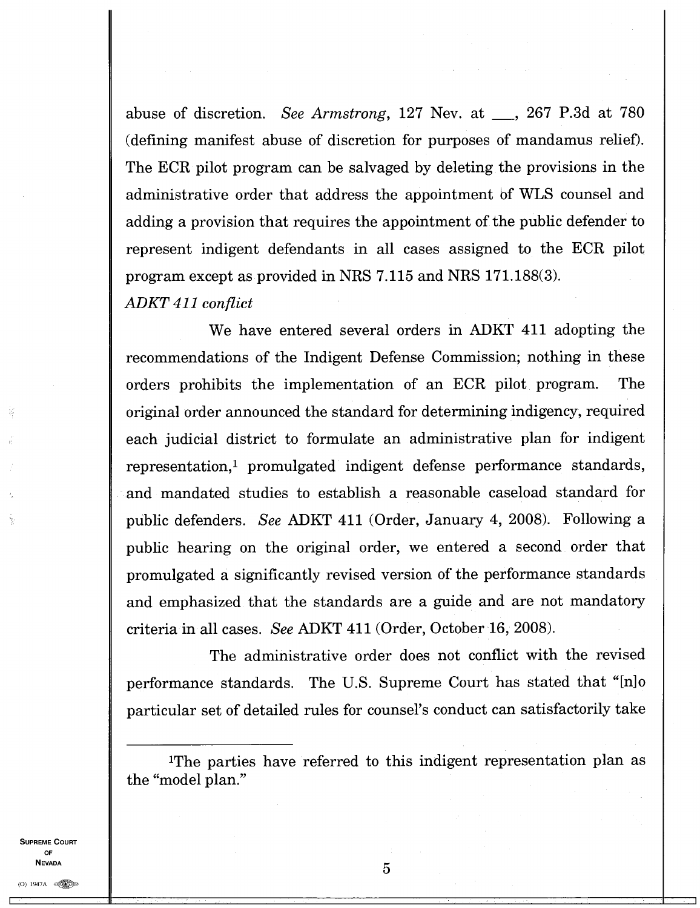abuse of discretion. *See Armstrong*, 127 Nev. at <sub>1</sub>, 267 P.3d at 780 (defining manifest abuse of discretion for purposes of mandamus relief). The ECR pilot program can be salvaged by deleting the provisions in the administrative order that address the appointment of WLS counsel and adding a provision that requires the appointment of the public defender to represent indigent defendants in all cases assigned to the ECR pilot program except as provided in NRS 7.115 and NRS 171.188(3). *ADKT 411 conflict* 

We have entered several orders in ADKT 411 adopting the recommendations of the Indigent Defense Commission; nothing in these orders prohibits the implementation of an ECR pilot program. The original order announced the standard for determining indigency, required each judicial district to formulate an administrative plan for indigent representation,' promulgated indigent defense performance standards, and mandated studies to establish a reasonable caseload standard for public defenders. *See* ADKT 411 (Order, January 4, 2008). Following a public hearing on the original order, we entered a second order that promulgated a significantly revised version of the performance standards and emphasized that the standards are a guide and are not mandatory criteria in all cases. *See* ADKT 411 (Order, October 16, 2008).

The administrative order does not conflict with the revised performance standards. The U.S. Supreme Court has stated that "[n] particular set of detailed rules for counsel's conduct can satisfactorily take

SUPREME COURT OF **NEVADA** 

<sup>&</sup>quot;The parties have referred to this indigent representation plan as the "model plan."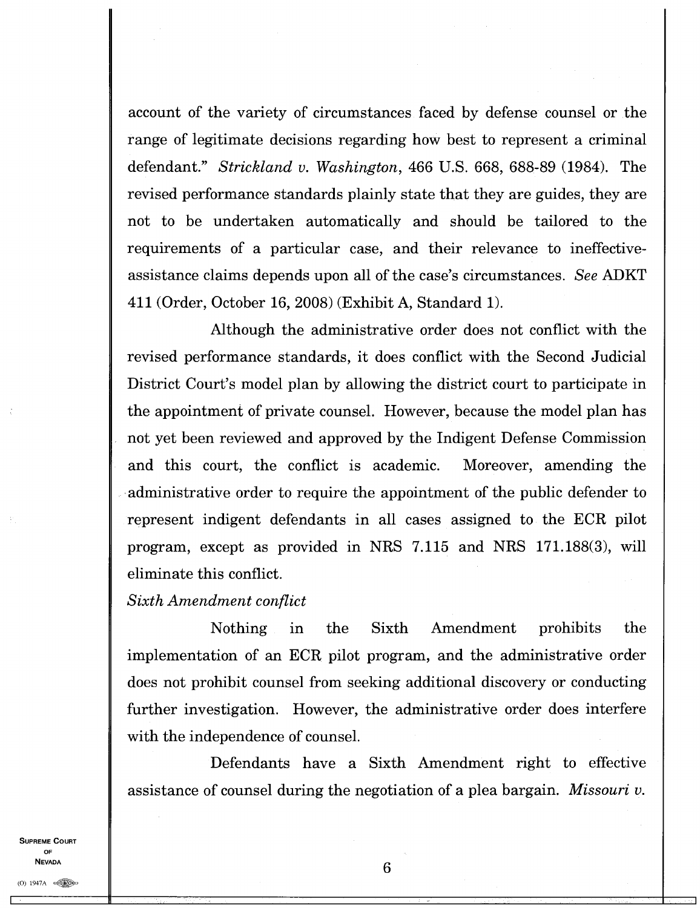account of the variety of circumstances faced by defense counsel or the range of legitimate decisions regarding how best to represent a criminal defendant." *Strickland v. Washington,* 466 U.S. 668, 688-89 (1984). The revised performance standards plainly state that they are guides, they are not to be undertaken automatically and should be tailored to the requirements of a particular case, and their relevance to ineffectiveassistance claims depends upon all of the case's circumstances. *See* ADKT 411 (Order, October 16, 2008) (Exhibit A, Standard 1).

Although the administrative order does not conflict with the revised performance standards, it does conflict with the Second Judicial District Court's model plan by allowing the district court to participate in the appointment of private counsel. However, because the model plan has not yet been reviewed and approved by the Indigent Defense Commission and this court, the conflict is academic. Moreover, amending the administrative order to require the appointment of the public defender to represent indigent defendants in all cases assigned to the ECR pilot program, except as provided in NRS 7.115 and NRS 171.188(3), will eliminate this conflict.

# *Sixth Amendment conflict*

Nothing in the Sixth Amendment prohibits the implementation of an ECR pilot program, and the administrative order does not prohibit counsel from seeking additional discovery or conducting further investigation. However, the administrative order does interfere with the independence of counsel.

Defendants have a Sixth Amendment right to effective assistance of counsel during the negotiation of a plea bargain. *Missouri v.* 

**SUPREME COURT OF NEVADA**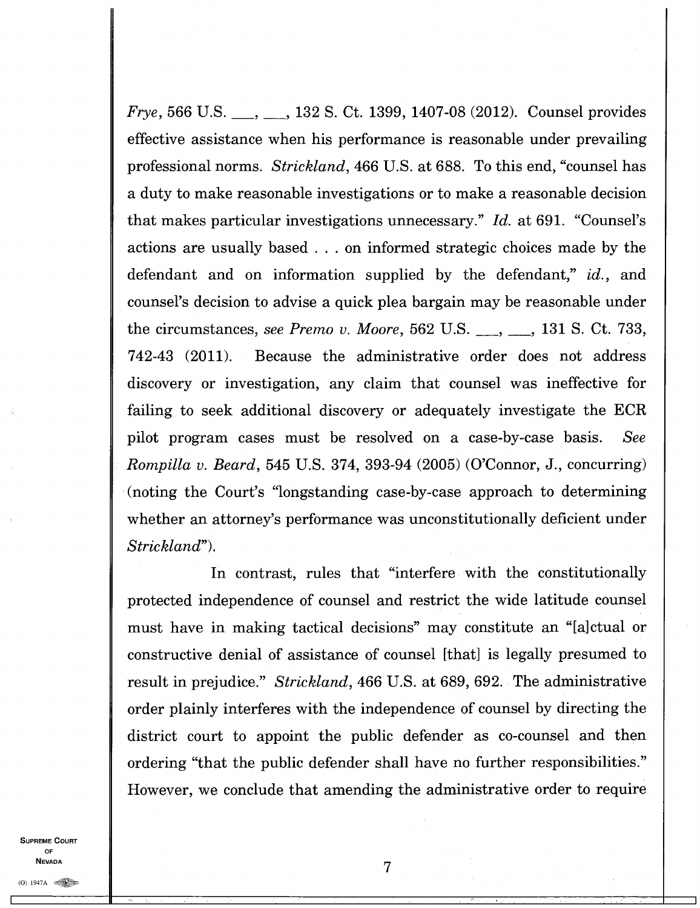*Frye*, 566 U.S. <sub>..., ..., 132 S. Ct. 1399, 1407-08 (2012). Counsel provides</sub> effective assistance when his performance is reasonable under prevailing professional norms. *Strickland,* 466 U.S. at 688. To this end, "counsel has a duty to make reasonable investigations or to make a reasonable decision that makes particular investigations unnecessary." *Id.* at 691. "Counsel's actions are usually based . . . on informed strategic choices made by the defendant and on information supplied by the defendant," *id.,* and counsel's decision to advise a quick plea bargain may be reasonable under the circumstances, *see Premo v. Moore*, 562 U.S. <sub>..., ..., 131 S. Ct. 733,</sub> 742-43 (2011). Because the administrative order does not address discovery or investigation, any claim that counsel was ineffective for failing to seek additional discovery or adequately investigate the ECR pilot program cases must be resolved on a case-by-case basis. *See Rompilla v. Beard,* 545 U.S. 374, 393-94 (2005) (O'Connor, J., concurring) (noting the Court's "longstanding case-by-case approach to determining whether an attorney's performance was unconstitutionally deficient under *Strickland").* 

In contrast, rules that "interfere with the constitutionally protected independence of counsel and restrict the wide latitude counsel must have in making tactical decisions" may constitute an "[a]ctual or constructive denial of assistance of counsel [that] is legally presumed to result in prejudice." *Strickland,* 466 U.S. at 689, 692. The administrative order plainly interferes with the independence of counsel by directing the district court to appoint the public defender as co-counsel and then ordering "that the public defender shall have no further responsibilities." However, we conclude that amending the administrative order to require

SUPREME COURT OF **NEVADA**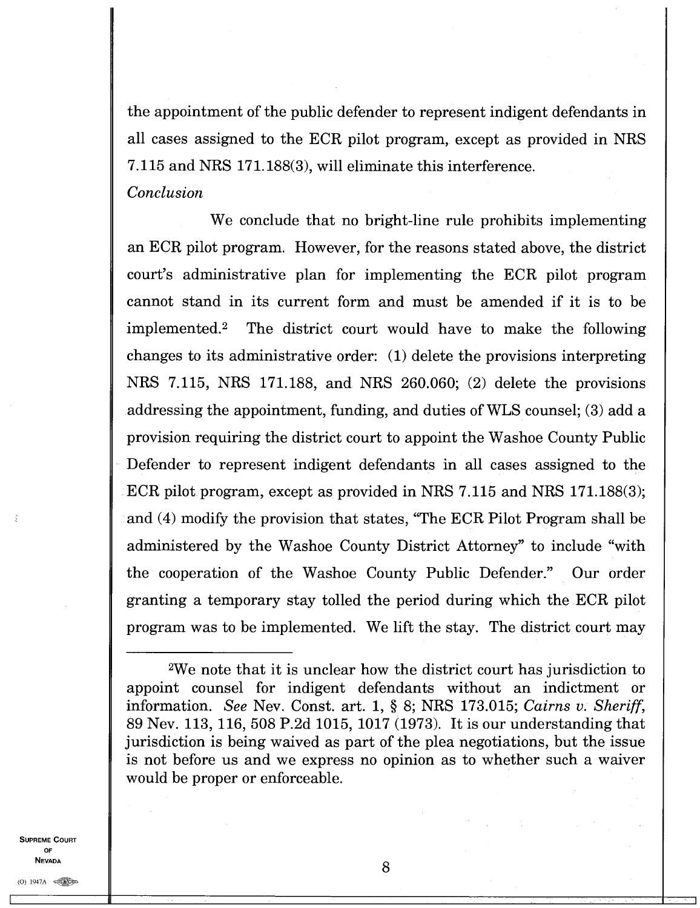the appointment of the public defender to represent indigent defendants in all cases assigned to the ECR pilot program, except as provided in NRS 7.115 and NRS 171.188(3), will eliminate this interference. *Conclusion* 

We conclude that no bright-line rule prohibits implementing an ECR pilot program. However, for the reasons stated above, the district court's administrative plan for implementing the ECR pilot program cannot stand in its current form and must be amended if it is to be implemented.<sup>2</sup> The district court would have to make the following changes to its administrative order: (1) delete the provisions interpreting NRS 7.115, NRS 171.188, and NRS 260.060; (2) delete the provisions addressing the appointment, funding, and duties of WLS counsel; (3) add a provision requiring the district court to appoint the Washoe County Public Defender to represent indigent defendants in all cases assigned to the ECR pilot program, except as provided in NRS 7.115 and NRS 171.188(3); and (4) modify the provision that states, "The ECR Pilot Program shall be administered by the Washoe County District Attorney" to include "with the cooperation of the Washoe County Public Defender." Our order granting a temporary stay tolled the period during which the ECR pilot program was to be implemented. We lift the stay. The district court may

**SUPREME COURT** OF **NEVADA** 

<sup>2</sup>We note that it is unclear how the district court has jurisdiction to appoint counsel for indigent defendants without an indictment or information. *See* Nev. Const. art. 1, § 8; NRS 173.015; *Cairns v. Sheriff,*  89 Nev. 113, 116, 508 P.2d 1015, 1017 (1973). It is our understanding that jurisdiction is being waived as part of the plea negotiations, but the issue is not before us and we express no opinion as to whether such a waiver would be proper or enforceable.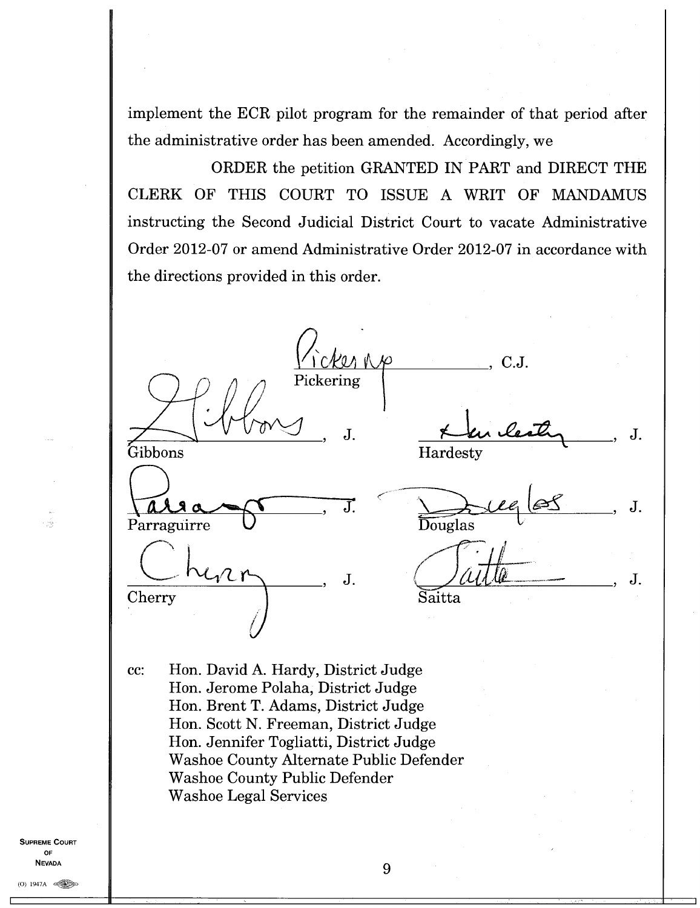implement the ECR pilot program for the remainder of that period after the administrative order has been amended. Accordingly, we

ORDER the petition GRANTED IN PART and DIRECT THE CLERK OF THIS COURT TO ISSUE A WRIT OF MANDAMUS instructing the Second Judicial District Court to vacate Administrative Order 2012-07 or amend Administrative Order 2012-07 in accordance with the directions provided in this order.

 $C.J.$ Pickering  $\mathbf{J}$ . J. Gibbons Hardesty J. J. Parraguirre **Douglas** J. J. Cherry Saitta cc: Hon. David A. Hardy, District Judge Hon. Jerome Polaha, District Judge Hon. Brent T. Adams, District Judge Hon. Scott N. Freeman, District Judge Hon. Jennifer Togliatti, District Judge Washoe County Alternate Public Defender Washoe County Public Defender Washoe Legal Services

**SUPREME COURT OF NEVADA** 

- pig